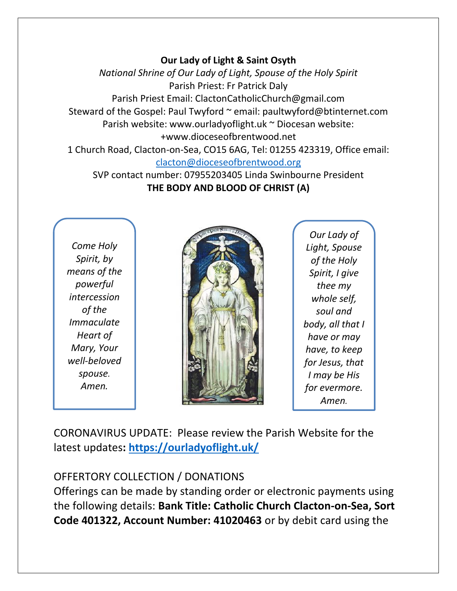#### **Our Lady of Light & Saint Osyth**

*National Shrine of Our Lady of Light, Spouse of the Holy Spirit* Parish Priest: Fr Patrick Daly Parish Priest Email: ClactonCatholicChurch@gmail.com Steward of the Gospel: Paul Twyford ~ email: paultwyford@btinternet.com Parish website: www.ourladyoflight.uk ~ Diocesan website: +www.dioceseofbrentwood.net 1 Church Road, Clacton-on-Sea, CO15 6AG, Tel: 01255 423319, Office email:

[clacton@dioceseofbrentwood.org](mailto:clacton@dioceseofbrentwood.org)

SVP contact number: 07955203405 Linda Swinbourne President **THE BODY AND BLOOD OF CHRIST (A)**

*Come Holy Spirit, by means of the powerful intercession of the Immaculate Heart of Mary, Your well-beloved spouse. Amen.*



*Our Lady of Light, Spouse of the Holy Spirit, I give thee my whole self, soul and body, all that I have or may have, to keep for Jesus, that I may be His for evermore. Amen.*

CORONAVIRUS UPDATE: Please review the Parish Website for the latest updates**:<https://ourladyoflight.uk/>**

## OFFERTORY COLLECTION / DONATIONS

Offerings can be made by standing order or electronic payments using the following details: **Bank Title: Catholic Church Clacton-on-Sea, Sort Code 401322, Account Number: 41020463** or by debit card using the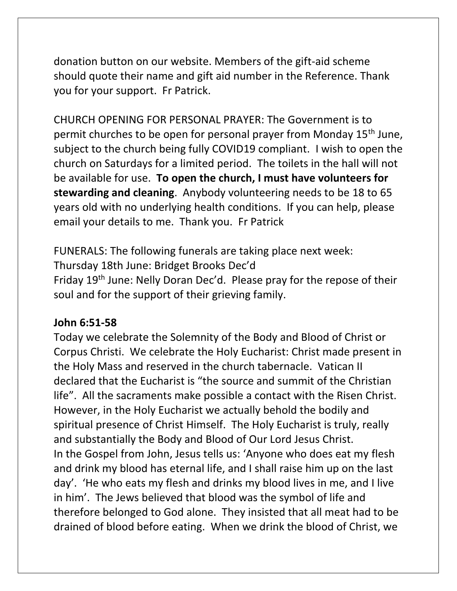donation button on our website. Members of the gift-aid scheme should quote their name and gift aid number in the Reference. Thank you for your support. Fr Patrick.

CHURCH OPENING FOR PERSONAL PRAYER: The Government is to permit churches to be open for personal prayer from Monday 15th June, subject to the church being fully COVID19 compliant. I wish to open the church on Saturdays for a limited period. The toilets in the hall will not be available for use. **To open the church, I must have volunteers for stewarding and cleaning**. Anybody volunteering needs to be 18 to 65 years old with no underlying health conditions. If you can help, please email your details to me. Thank you. Fr Patrick

FUNERALS: The following funerals are taking place next week: Thursday 18th June: Bridget Brooks Dec'd Friday 19th June: Nelly Doran Dec'd. Please pray for the repose of their soul and for the support of their grieving family.

### **John 6:51-58**

Today we celebrate the Solemnity of the Body and Blood of Christ or Corpus Christi. We celebrate the Holy Eucharist: Christ made present in the Holy Mass and reserved in the church tabernacle. Vatican II declared that the Eucharist is "the source and summit of the Christian life". All the sacraments make possible a contact with the Risen Christ. However, in the Holy Eucharist we actually behold the bodily and spiritual presence of Christ Himself. The Holy Eucharist is truly, really and substantially the Body and Blood of Our Lord Jesus Christ. In the Gospel from John, Jesus tells us: 'Anyone who does eat my flesh and drink my blood has eternal life, and I shall raise him up on the last day'. 'He who eats my flesh and drinks my blood lives in me, and I live in him'. The Jews believed that blood was the symbol of life and therefore belonged to God alone. They insisted that all meat had to be drained of blood before eating. When we drink the blood of Christ, we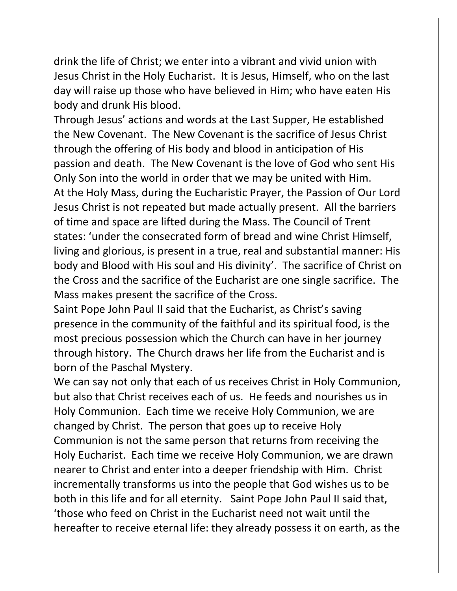drink the life of Christ; we enter into a vibrant and vivid union with Jesus Christ in the Holy Eucharist. It is Jesus, Himself, who on the last day will raise up those who have believed in Him; who have eaten His body and drunk His blood.

Through Jesus' actions and words at the Last Supper, He established the New Covenant. The New Covenant is the sacrifice of Jesus Christ through the offering of His body and blood in anticipation of His passion and death. The New Covenant is the love of God who sent His Only Son into the world in order that we may be united with Him. At the Holy Mass, during the Eucharistic Prayer, the Passion of Our Lord Jesus Christ is not repeated but made actually present. All the barriers of time and space are lifted during the Mass. The Council of Trent states: 'under the consecrated form of bread and wine Christ Himself, living and glorious, is present in a true, real and substantial manner: His body and Blood with His soul and His divinity'. The sacrifice of Christ on the Cross and the sacrifice of the Eucharist are one single sacrifice. The Mass makes present the sacrifice of the Cross.

Saint Pope John Paul II said that the Eucharist, as Christ's saving presence in the community of the faithful and its spiritual food, is the most precious possession which the Church can have in her journey through history. The Church draws her life from the Eucharist and is born of the Paschal Mystery.

We can say not only that each of us receives Christ in Holy Communion, but also that Christ receives each of us. He feeds and nourishes us in Holy Communion. Each time we receive Holy Communion, we are changed by Christ. The person that goes up to receive Holy Communion is not the same person that returns from receiving the Holy Eucharist. Each time we receive Holy Communion, we are drawn nearer to Christ and enter into a deeper friendship with Him. Christ incrementally transforms us into the people that God wishes us to be both in this life and for all eternity. Saint Pope John Paul II said that, 'those who feed on Christ in the Eucharist need not wait until the hereafter to receive eternal life: they already possess it on earth, as the